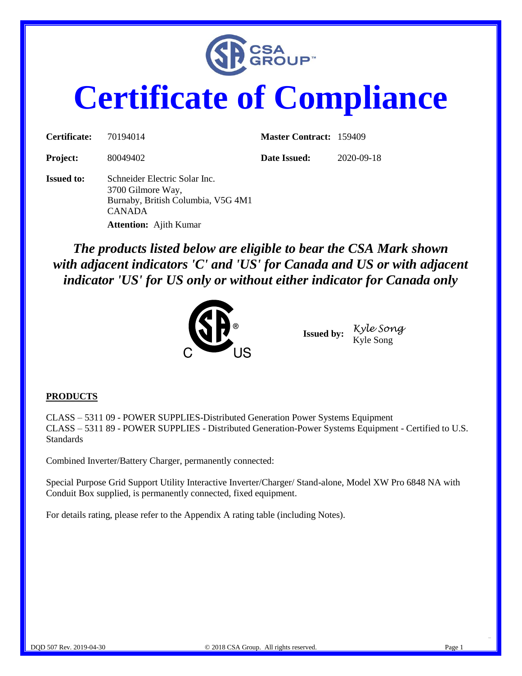

# **Certificate of Compliance**

| Certificate:      | 70194014                                                                                                                                   | <b>Master Contract: 159409</b> |            |
|-------------------|--------------------------------------------------------------------------------------------------------------------------------------------|--------------------------------|------------|
| <b>Project:</b>   | 80049402                                                                                                                                   | Date Issued:                   | 2020-09-18 |
| <b>Issued to:</b> | Schneider Electric Solar Inc.<br>3700 Gilmore Way,<br>Burnaby, British Columbia, V5G 4M1<br><b>CANADA</b><br><b>Attention:</b> Ajith Kumar |                                |            |

*The products listed below are eligible to bear the CSA Mark shown with adjacent indicators 'C' and 'US' for Canada and US or with adjacent indicator 'US' for US only or without either indicator for Canada only*



**Issued by:** *Kyle Song* Kyle Song

#### **PRODUCTS**

CLASS – 5311 09 - POWER SUPPLIES-Distributed Generation Power Systems Equipment CLASS – 5311 89 - POWER SUPPLIES - Distributed Generation-Power Systems Equipment - Certified to U.S. **Standards** 

Combined Inverter/Battery Charger, permanently connected:

Special Purpose Grid Support Utility Interactive Inverter/Charger/ Stand-alone, Model XW Pro 6848 NA with Conduit Box supplied, is permanently connected, fixed equipment.

For details rating, please refer to the Appendix A rating table (including Notes).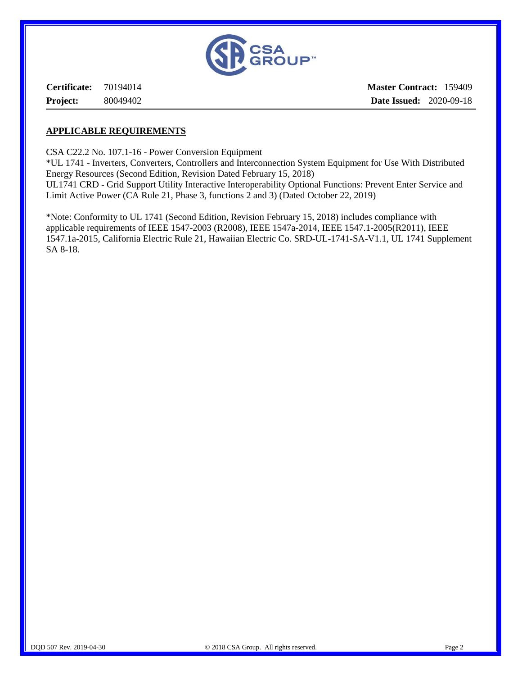

**Certificate:** 70194014 **Project:** 80049402 **Master Contract:** 159409 **Date Issued:** 2020-09-18

#### **APPLICABLE REQUIREMENTS**

CSA C22.2 No. 107.1-16 - Power Conversion Equipment

\*UL 1741 - Inverters, Converters, Controllers and Interconnection System Equipment for Use With Distributed Energy Resources (Second Edition, Revision Dated February 15, 2018) UL1741 CRD - Grid Support Utility Interactive Interoperability Optional Functions: Prevent Enter Service and Limit Active Power (CA Rule 21, Phase 3, functions 2 and 3) (Dated October 22, 2019)

\*Note: Conformity to UL 1741 (Second Edition, Revision February 15, 2018) includes compliance with applicable requirements of IEEE 1547-2003 (R2008), IEEE 1547a-2014, IEEE 1547.1-2005(R2011), IEEE 1547.1a-2015, California Electric Rule 21, Hawaiian Electric Co. SRD-UL-1741-SA-V1.1, UL 1741 Supplement SA 8-18.